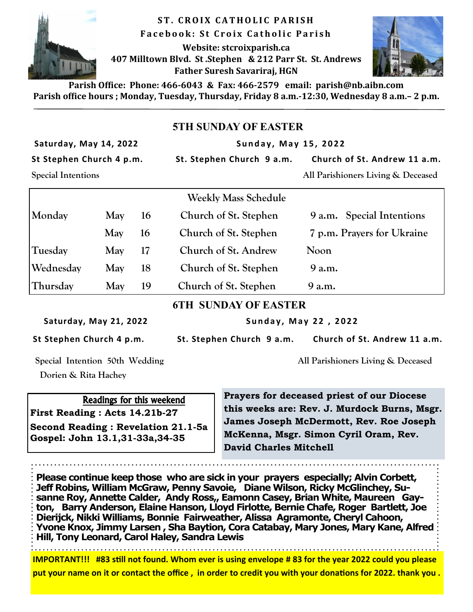

**ST. CROIX CATHOLIC PARISH F a c e b o o k : S t C r o i x C a t h o l i c P a r i s h Website: stcroixparish.ca 407 Milltown Blvd. St .Stephen & 212 Parr St. St. Andrews Father Suresh Savariraj, HGN**



**Parish Office: Phone: 466-6043 & Fax: 466-2579 email: parish@nb.aibn.com Parish office hours ; Monday, Tuesday, Thursday, Friday 8 a.m.-12:30, Wednesday 8 a.m.– 2 p.m.**

## **5TH SUNDAY OF EASTER**

Saturday, May 14, 2022 **1988 Sunday, May 15, 2022** 

St Stephen Church 4 p.m. St. Stephen Church 9 a.m. Church of St. Andrew 11 a.m.

**Special Intentions All Parishioners Living & Deceased** 

|     |    | <b>Weekly Mass Schedule</b> |                            |
|-----|----|-----------------------------|----------------------------|
| May | 16 | Church of St. Stephen       | 9 a.m. Special Intentions  |
| May | 16 | Church of St. Stephen       | 7 p.m. Prayers for Ukraine |
| May | 17 | Church of St. Andrew        | Noon                       |
| May | 18 | Church of St. Stephen       | 9 a.m.                     |
| May | 19 | Church of St. Stephen       | 9 a.m.                     |
|     |    |                             |                            |

**6TH SUNDAY OF EASTER** 

Saturday, May 21, 2022 **Sunday, May 22, 2022** 

**St Stephen Church 4 p.m. St. Stephen Church 9 a.m. Church of St. Andrew 11 a.m.** 

**Special Intention 50th Wedding All Parishioners Living & Deceased** 

 **Dorien & Rita Hachey** 

## Readings for this weekend

**First Reading : Acts 14.21b-27 Second Reading : Revelation 21.1-5a Gospel: John 13.1,31-33a,34-35**

**Prayers for deceased priest of our Diocese this weeks are: Rev. J. Murdock Burns, Msgr. James Joseph McDermott, Rev. Roe Joseph McKenna, Msgr. Simon Cyril Oram, Rev. David Charles Mitchell**

**Please continue keep those who are sick in your prayers especially; Alvin Corbett,**  Jeff Robins, William McGraw, Penny Savoie, Diane Wilson, Ricky McGlinchey, Su**sanne Roy, Annette Calder, Andy Ross,, Eamonn Casey, Brian White, Maureen Gayton, Barry Anderson, Elaine Hanson, Lloyd Firlotte, Bernie Chafe, Roger Bartlett, Joe Dierijck, Nikki Williams, Bonnie Fairweather, Alissa Agramonte, Cheryl Cahoon, Yvone Knox, Jimmy Larsen , Sha Baytion, Cora Catabay, Mary Jones, Mary Kane, Alfred Hill, Tony Leonard, Carol Haley, Sandra Lewis**

**IMPORTANT!!! #83 still not found. Whom ever is using envelope # 83 for the year 2022 could you please put your name on it or contact the office , in order to credit you with your donations for 2022. thank you .**